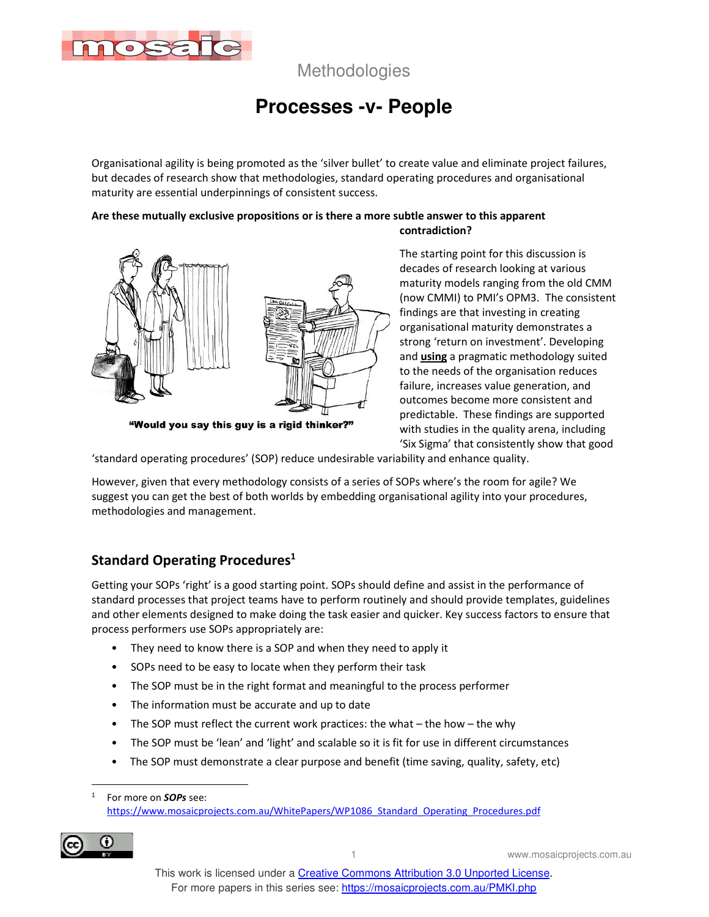

# **Processes -v- People**

Organisational agility is being promoted as the 'silver bullet' to create value and eliminate project failures, but decades of research show that methodologies, standard operating procedures and organisational maturity are essential underpinnings of consistent success.

#### **Are these mutually exclusive propositions or is there a more subtle answer to this apparent contradiction?**



"Would you say this guy is a rigid thinker?"

The starting point for this discussion is decades of research looking at various maturity models ranging from the old CMM (now CMMI) to PMI's OPM3. The consistent findings are that investing in creating organisational maturity demonstrates a strong 'return on investment'. Developing and **using** a pragmatic methodology suited to the needs of the organisation reduces failure, increases value generation, and outcomes become more consistent and predictable. These findings are supported with studies in the quality arena, including 'Six Sigma' that consistently show that good

'standard operating procedures' (SOP) reduce undesirable variability and enhance quality.

However, given that every methodology consists of a series of SOPs where's the room for agile? We suggest you can get the best of both worlds by embedding organisational agility into your procedures, methodologies and management.

## **Standard Operating Procedures<sup>1</sup>**

Getting your SOPs 'right' is a good starting point. SOPs should define and assist in the performance of standard processes that project teams have to perform routinely and should provide templates, guidelines and other elements designed to make doing the task easier and quicker. Key success factors to ensure that process performers use SOPs appropriately are:

- They need to know there is a SOP and when they need to apply it
- SOPs need to be easy to locate when they perform their task
- The SOP must be in the right format and meaningful to the process performer
- The information must be accurate and up to date
- The SOP must reflect the current work practices: the what the how the why
- The SOP must be 'lean' and 'light' and scalable so it is fit for use in different circumstances
- The SOP must demonstrate a clear purpose and benefit (time saving, quality, safety, etc)

<sup>1</sup> For more on *SOPs* see: https://www.mosaicprojects.com.au/WhitePapers/WP1086\_Standard\_Operating\_Procedures.pdf



1 www.mosaicprojects.com.au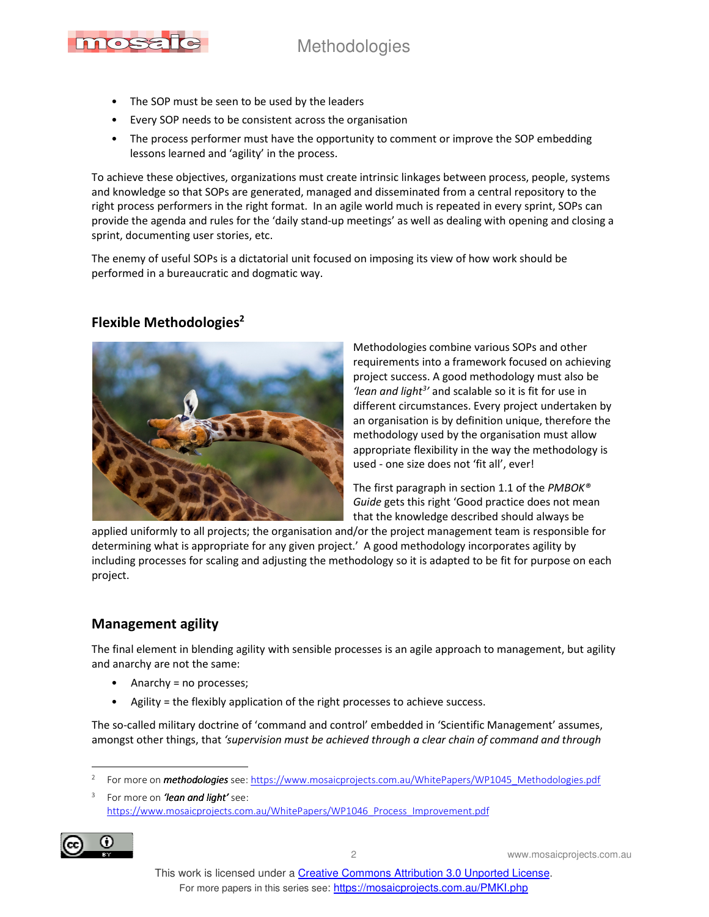

- The SOP must be seen to be used by the leaders
- Every SOP needs to be consistent across the organisation
- The process performer must have the opportunity to comment or improve the SOP embedding lessons learned and 'agility' in the process.

To achieve these objectives, organizations must create intrinsic linkages between process, people, systems and knowledge so that SOPs are generated, managed and disseminated from a central repository to the right process performers in the right format. In an agile world much is repeated in every sprint, SOPs can provide the agenda and rules for the 'daily stand-up meetings' as well as dealing with opening and closing a sprint, documenting user stories, etc.

The enemy of useful SOPs is a dictatorial unit focused on imposing its view of how work should be performed in a bureaucratic and dogmatic way.

### **Flexible Methodologies<sup>2</sup>**



Methodologies combine various SOPs and other requirements into a framework focused on achieving project success. A good methodology must also be *'lean and light<sup>3</sup> '* and scalable so it is fit for use in different circumstances. Every project undertaken by an organisation is by definition unique, therefore the methodology used by the organisation must allow appropriate flexibility in the way the methodology is used - one size does not 'fit all', ever!

The first paragraph in section 1.1 of the *PMBOK® Guide* gets this right 'Good practice does not mean that the knowledge described should always be

applied uniformly to all projects; the organisation and/or the project management team is responsible for determining what is appropriate for any given project.' A good methodology incorporates agility by including processes for scaling and adjusting the methodology so it is adapted to be fit for purpose on each project.

### **Management agility**

The final element in blending agility with sensible processes is an agile approach to management, but agility and anarchy are not the same:

- Anarchy = no processes;
- Agility = the flexibly application of the right processes to achieve success.

The so-called military doctrine of 'command and control' embedded in 'Scientific Management' assumes, amongst other things, that *'supervision must be achieved through a clear chain of command and through* 

<sup>3</sup> For more on *'lean and light'* see: https://www.mosaicprojects.com.au/WhitePapers/WP1046\_Process\_Improvement.pdf



2 www.mosaicprojects.com.au

<sup>2</sup> For more on *methodologies* see: https://www.mosaicprojects.com.au/WhitePapers/WP1045\_Methodologies.pdf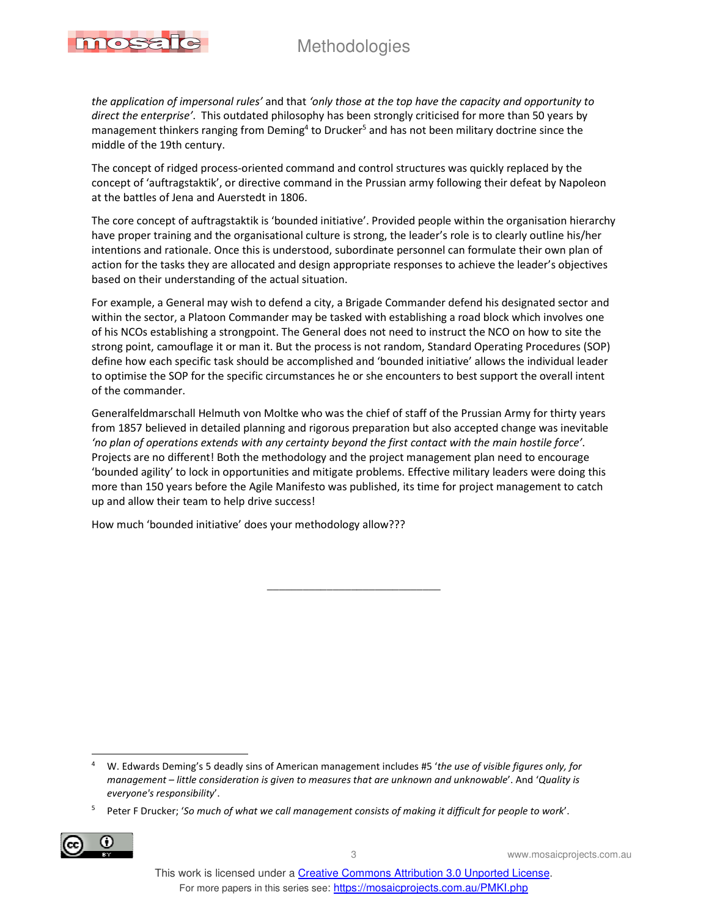

*the application of impersonal rules'* and that *'only those at the top have the capacity and opportunity to direct the enterprise'*. This outdated philosophy has been strongly criticised for more than 50 years by management thinkers ranging from Deming<sup>4</sup> to Drucker<sup>5</sup> and has not been military doctrine since the middle of the 19th century.

The concept of ridged process-oriented command and control structures was quickly replaced by the concept of 'auftragstaktik', or directive command in the Prussian army following their defeat by Napoleon at the battles of Jena and Auerstedt in 1806.

The core concept of auftragstaktik is 'bounded initiative'. Provided people within the organisation hierarchy have proper training and the organisational culture is strong, the leader's role is to clearly outline his/her intentions and rationale. Once this is understood, subordinate personnel can formulate their own plan of action for the tasks they are allocated and design appropriate responses to achieve the leader's objectives based on their understanding of the actual situation.

For example, a General may wish to defend a city, a Brigade Commander defend his designated sector and within the sector, a Platoon Commander may be tasked with establishing a road block which involves one of his NCOs establishing a strongpoint. The General does not need to instruct the NCO on how to site the strong point, camouflage it or man it. But the process is not random, Standard Operating Procedures (SOP) define how each specific task should be accomplished and 'bounded initiative' allows the individual leader to optimise the SOP for the specific circumstances he or she encounters to best support the overall intent of the commander.

Generalfeldmarschall Helmuth von Moltke who was the chief of staff of the Prussian Army for thirty years from 1857 believed in detailed planning and rigorous preparation but also accepted change was inevitable *'no plan of operations extends with any certainty beyond the first contact with the main hostile force'*. Projects are no different! Both the methodology and the project management plan need to encourage 'bounded agility' to lock in opportunities and mitigate problems. Effective military leaders were doing this more than 150 years before the Agile Manifesto was published, its time for project management to catch up and allow their team to help drive success!

 $\frac{1}{2}$ 

How much 'bounded initiative' does your methodology allow???

<sup>5</sup> Peter F Drucker; '*So much of what we call management consists of making it difficult for people to work*'.



<sup>4</sup> W. Edwards Deming's 5 deadly sins of American management includes #5 '*the use of visible figures only, for management – little consideration is given to measures that are unknown and unknowable*'. And '*Quality is everyone's responsibility*'.